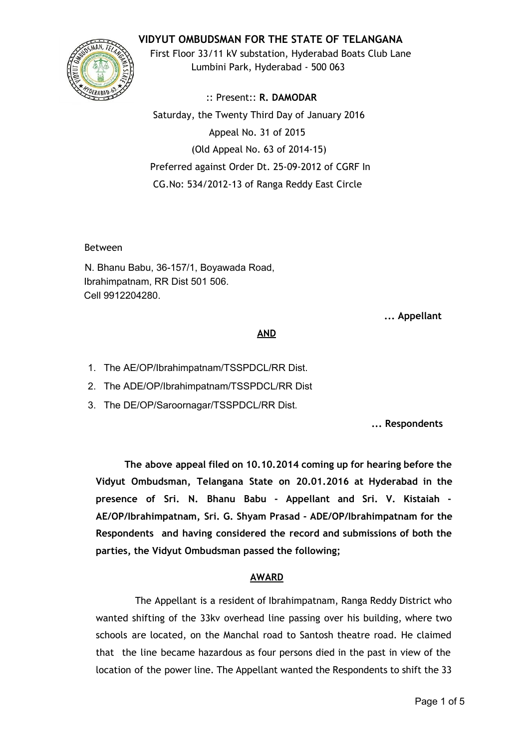# **VIDYUT OMBUDSMAN FOR THE STATE OF TELANGANA**



First Floor 33/11 kV substation, Hyderabad Boats Club Lane Lumbini Park, Hyderabad - 500 063

:: Present:: **R. DAMODAR** Saturday, the Twenty Third Day of January 2016 Appeal No. 31 of 2015 (Old Appeal No. 63 of 2014-15) Preferred against Order Dt. 25-09-2012 of CGRF In CG.No: 534/2012-13 of Ranga Reddy East Circle

Between

N. Bhanu Babu, 36-157/1, Boyawada Road, Ibrahimpatnam, RR Dist 501 506. Cell 9912204280.

**... Appellant**

### **AND**

1. The AE/OP/Ibrahimpatnam/TSSPDCL/RR Dist.

2. The ADE/OP/Ibrahimpatnam/TSSPDCL/RR Dist

3. The DE/OP/Saroornagar/TSSPDCL/RR Dist.

**... Respondents**

**The above appeal filed on 10.10.2014 coming up for hearing before the Vidyut Ombudsman, Telangana State on 20.01.2016 at Hyderabad in the presence of Sri. N. Bhanu Babu - Appellant and Sri. V. Kistaiah - AE/OP/Ibrahimpatnam, Sri. G. Shyam Prasad - ADE/OP/Ibrahimpatnam for the Respondents and having considered the record and submissions of both the parties, the Vidyut Ombudsman passed the following;**

# **AWARD**

The Appellant is a resident of Ibrahimpatnam, Ranga Reddy District who wanted shifting of the 33kv overhead line passing over his building, where two schools are located, on the Manchal road to Santosh theatre road. He claimed that the line became hazardous as four persons died in the past in view of the location of the power line. The Appellant wanted the Respondents to shift the 33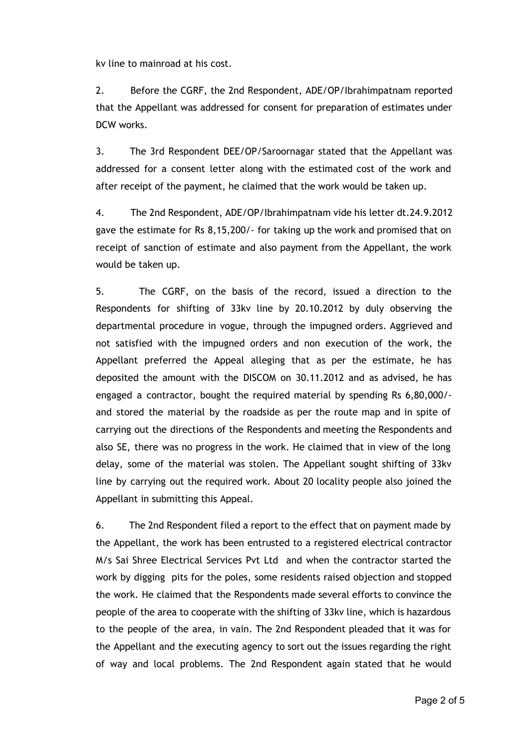kv line to mainroad at his cost.

2. Before the CGRF, the 2nd Respondent, ADE/OP/Ibrahimpatnam reported that the Appellant was addressed for consent for preparation of estimates under DCW works.

3. The 3rd Respondent DEE/OP/Saroornagar stated that the Appellant was addressed for a consent letter along with the estimated cost of the work and after receipt of the payment, he claimed that the work would be taken up.

4. The 2nd Respondent, ADE/OP/Ibrahimpatnam vide his letter dt.24.9.2012 gave the estimate for Rs 8,15,200/- for taking up the work and promised that on receipt of sanction of estimate and also payment from the Appellant, the work would be taken up.

5. The CGRF, on the basis of the record, issued a direction to the Respondents for shifting of 33kv line by 20.10.2012 by duly observing the departmental procedure in vogue, through the impugned orders. Aggrieved and not satisfied with the impugned orders and non execution of the work, the Appellant preferred the Appeal alleging that as per the estimate, he has deposited the amount with the DISCOM on 30.11.2012 and as advised, he has engaged a contractor, bought the required material by spending Rs 6,80,000/ and stored the material by the roadside as per the route map and in spite of carrying out the directions of the Respondents and meeting the Respondents and also SE, there was no progress in the work. He claimed that in view of the long delay, some of the material was stolen. The Appellant sought shifting of 33kv line by carrying out the required work. About 20 locality people also joined the Appellant in submitting this Appeal.

6. The 2nd Respondent filed a report to the effect that on payment made by the Appellant, the work has been entrusted to a registered electrical contractor M/s Sai Shree Electrical Services Pvt Ltd and when the contractor started the work by digging pits for the poles, some residents raised objection and stopped the work. He claimed that the Respondents made several efforts to convince the people of the area to cooperate with the shifting of 33kv line, which is hazardous to the people of the area, in vain. The 2nd Respondent pleaded that it was for the Appellant and the executing agency to sort out the issues regarding the right of way and local problems. The 2nd Respondent again stated that he would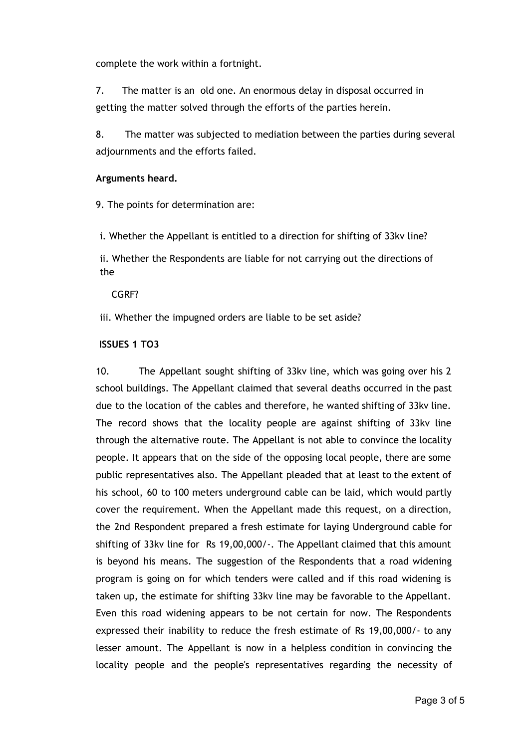complete the work within a fortnight.

7. The matter is an old one. An enormous delay in disposal occurred in getting the matter solved through the efforts of the parties herein.

8. The matter was subjected to mediation between the parties during several adjournments and the efforts failed.

### **Arguments heard.**

9. The points for determination are:

i. Whether the Appellant is entitled to a direction for shifting of 33kv line?

ii. Whether the Respondents are liable for not carrying out the directions of the

### CGRF?

iii. Whether the impugned orders are liable to be set aside?

### **ISSUES 1 TO3**

10. The Appellant sought shifting of 33kv line, which was going over his 2 school buildings. The Appellant claimed that several deaths occurred in the past due to the location of the cables and therefore, he wanted shifting of 33kv line. The record shows that the locality people are against shifting of 33kv line through the alternative route. The Appellant is not able to convince the locality people. It appears that on the side of the opposing local people, there are some public representatives also. The Appellant pleaded that at least to the extent of his school, 60 to 100 meters underground cable can be laid, which would partly cover the requirement. When the Appellant made this request, on a direction, the 2nd Respondent prepared a fresh estimate for laying Underground cable for shifting of 33kv line for Rs 19,00,000/-. The Appellant claimed that this amount is beyond his means. The suggestion of the Respondents that a road widening program is going on for which tenders were called and if this road widening is taken up, the estimate for shifting 33kv line may be favorable to the Appellant. Even this road widening appears to be not certain for now. The Respondents expressed their inability to reduce the fresh estimate of Rs 19,00,000/- to any lesser amount. The Appellant is now in a helpless condition in convincing the locality people and the people's representatives regarding the necessity of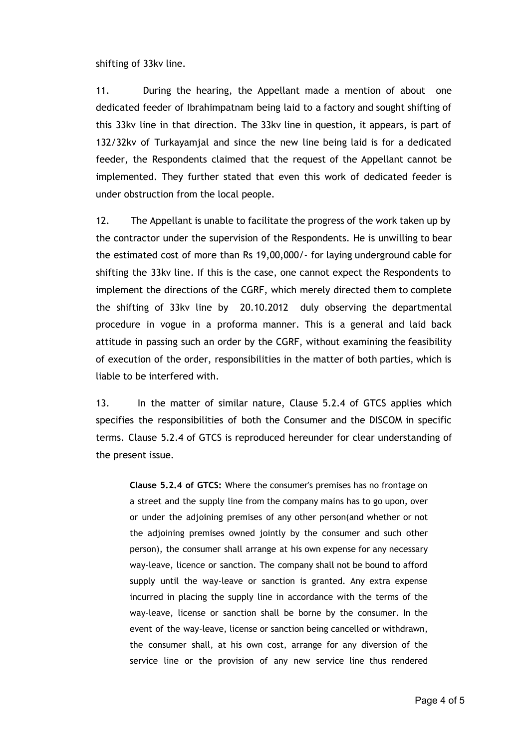shifting of 33kv line.

11. During the hearing, the Appellant made a mention of about one dedicated feeder of Ibrahimpatnam being laid to a factory and sought shifting of this 33kv line in that direction. The 33kv line in question, it appears, is part of 132/32kv of Turkayamjal and since the new line being laid is for a dedicated feeder, the Respondents claimed that the request of the Appellant cannot be implemented. They further stated that even this work of dedicated feeder is under obstruction from the local people.

12. The Appellant is unable to facilitate the progress of the work taken up by the contractor under the supervision of the Respondents. He is unwilling to bear the estimated cost of more than Rs 19,00,000/- for laying underground cable for shifting the 33kv line. If this is the case, one cannot expect the Respondents to implement the directions of the CGRF, which merely directed them to complete the shifting of 33kv line by 20.10.2012 duly observing the departmental procedure in vogue in a proforma manner. This is a general and laid back attitude in passing such an order by the CGRF, without examining the feasibility of execution of the order, responsibilities in the matter of both parties, which is liable to be interfered with.

13. In the matter of similar nature, Clause 5.2.4 of GTCS applies which specifies the responsibilities of both the Consumer and the DISCOM in specific terms. Clause 5.2.4 of GTCS is reproduced hereunder for clear understanding of the present issue.

**Clause 5.2.4 of GTCS:** Where the consumer's premises has no frontage on a street and the supply line from the company mains has to go upon, over or under the adjoining premises of any other person(and whether or not the adjoining premises owned jointly by the consumer and such other person), the consumer shall arrange at his own expense for any necessary way-leave, licence or sanction. The company shall not be bound to afford supply until the way-leave or sanction is granted. Any extra expense incurred in placing the supply line in accordance with the terms of the way-leave, license or sanction shall be borne by the consumer. In the event of the way-leave, license or sanction being cancelled or withdrawn, the consumer shall, at his own cost, arrange for any diversion of the service line or the provision of any new service line thus rendered